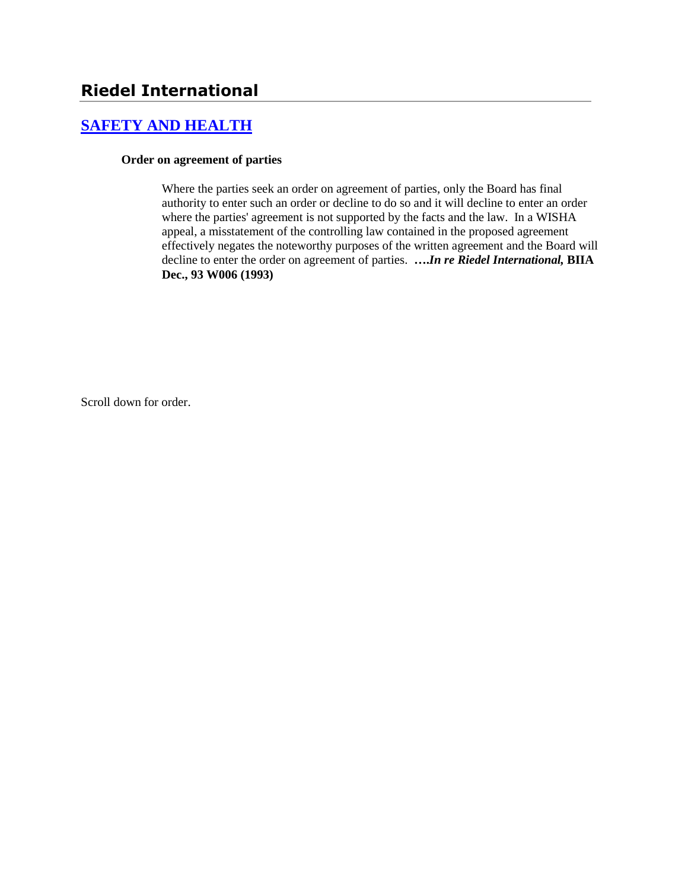# **[SAFETY AND HEALTH](http://www.biia.wa.gov/SDSubjectIndex.html#SAFETY_AND_HEALTH)**

### **Order on agreement of parties**

Where the parties seek an order on agreement of parties, only the Board has final authority to enter such an order or decline to do so and it will decline to enter an order where the parties' agreement is not supported by the facts and the law. In a WISHA appeal, a misstatement of the controlling law contained in the proposed agreement effectively negates the noteworthy purposes of the written agreement and the Board will decline to enter the order on agreement of parties. **….***In re Riedel International,* **BIIA Dec., 93 W006 (1993)** 

Scroll down for order.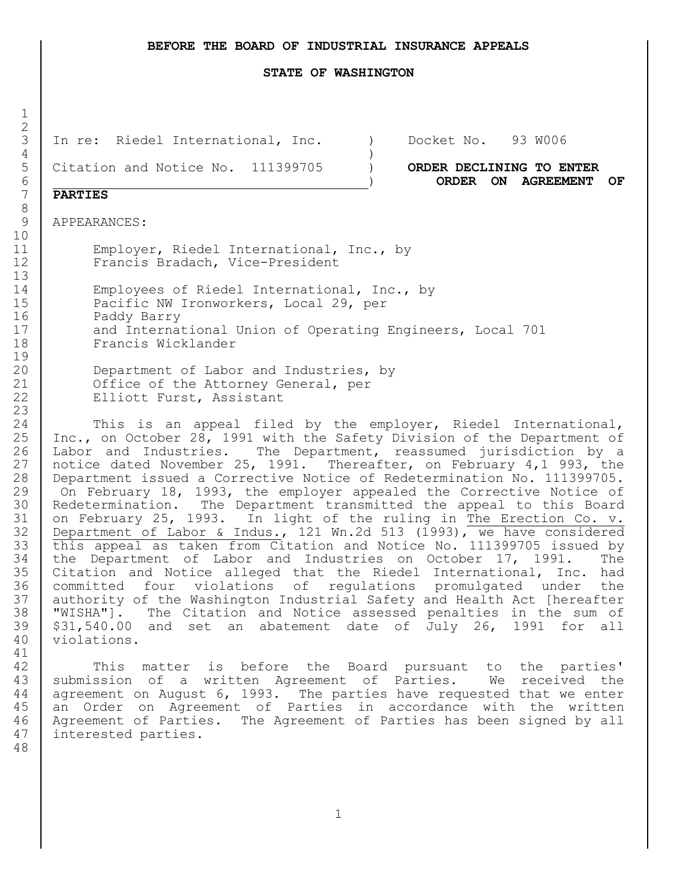#### **BEFORE THE BOARD OF INDUSTRIAL INSURANCE APPEALS**

#### **STATE OF WASHINGTON**

In re: Riedel International, Inc. ) Docket No. 93 W006

Citation and Notice No. 111399705 ) **ORDER DECLINING TO ENTER**

) **ORDER ON AGREEMENT OF** 

## **PARTIES**

APPEARANCES:

 Employer, Riedel International, Inc., by Francis Bradach, Vice-President

 Employees of Riedel International, Inc., by 15 | Pacific NW Ironworkers, Local 29, per Paddy Barry 17 and International Union of Operating Engineers, Local 701 Francis Wicklander

 Department of Labor and Industries, by 21 Office of the Attorney General, per 22 Elliott Furst, Assistant

 This is an appeal filed by the employer, Riedel International, Inc., on October 28, 1991 with the Safety Division of the Department of Labor and Industries. The Department, reassumed jurisdiction by a notice dated November 25, 1991. Thereafter, on February 4,1 993, the Department issued a Corrective Notice of Redetermination No. 111399705. On February 18, 1993, the employer appealed the Corrective Notice of Redetermination. The Department transmitted the appeal to this Board 31 on February 25, 1993. In light of the ruling in The Erection Co. v. Department of Labor & Indus., 121 Wn.2d 513 (1993), we have considered this appeal as taken from Citation and Notice No. 111399705 issued by the Department of Labor and Industries on October 17, 1991. The Citation and Notice alleged that the Riedel International, Inc. had committed four violations of regulations promulgated under the authority of the Washington Industrial Safety and Health Act [hereafter "WISHA"]. The Citation and Notice assessed penalties in the sum of \$31,540.00 and set an abatement date of July 26, 1991 for all violations.

 This matter is before the Board pursuant to the parties' 43 | submission of a written Agreement of Parties. We received the agreement on August 6, 1993. The parties have requested that we enter an Order on Agreement of Parties in accordance with the written Agreement of Parties. The Agreement of Parties has been signed by all interested parties.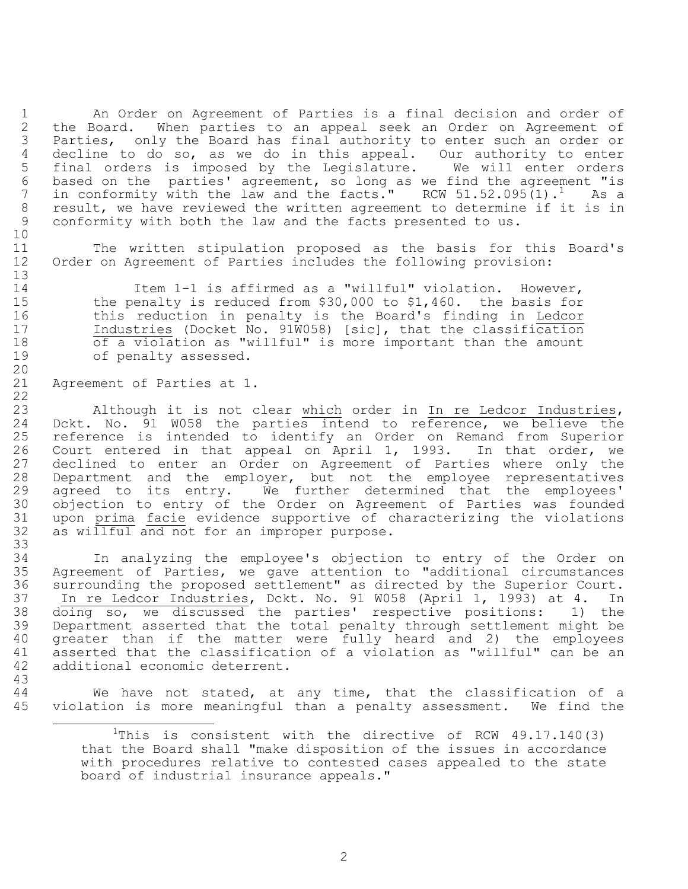An Order on Agreement of Parties is a final decision and order of the Board. When parties to an appeal seek an Order on Agreement of Parties, only the Board has final authority to enter such an order or decline to do so, as we do in this appeal. Our authority to enter final orders is imposed by the Legislature. We will enter orders 6 based on the parties' agreement, so long as we find the agreement "is  $\frac{7}{1}$  in conformity with the law and the facts." RCW 51.52.095(1).<sup>1</sup> As a in conformity with the law and the facts." RCW  $51.52.095(1)$ . As a result, we have reviewed the written agreement to determine if it is in conformity with both the law and the facts presented to us. 

 The written stipulation proposed as the basis for this Board's Order on Agreement of Parties includes the following provision:

 Item 1-1 is affirmed as a "willful" violation. However, the penalty is reduced from \$30,000 to \$1,460. the basis for this reduction in penalty is the Board's finding in Ledcor Industries (Docket No. 91W058) [sic], that the classification of a violation as "willful" is more important than the amount of penalty assessed.

Agreement of Parties at 1.

ı.

 Although it is not clear which order in In re Ledcor Industries, Dckt. No. 91 W058 the parties intend to reference, we believe the reference is intended to identify an Order on Remand from Superior Court entered in that appeal on April 1, 1993. In that order, we declined to enter an Order on Agreement of Parties where only the Department and the employer, but not the employee representatives 29 agreed to its entry. We further determined that the employees' objection to entry of the Order on Agreement of Parties was founded upon prima facie evidence supportive of characterizing the violations 32 as willful and not for an improper purpose. 

 In analyzing the employee's objection to entry of the Order on Agreement of Parties, we gave attention to "additional circumstances surrounding the proposed settlement" as directed by the Superior Court. In re Ledcor Industries, Dckt. No. 91 W058 (April 1, 1993) at 4. In doing so, we discussed the parties' respective positions: 1) the Department asserted that the total penalty through settlement might be greater than if the matter were fully heard and 2) the employees asserted that the classification of a violation as "willful" can be an additional economic deterrent. 

 We have not stated, at any time, that the classification of a violation is more meaningful than a penalty assessment. We find the

<sup>&</sup>lt;sup>1</sup>This is consistent with the directive of RCW  $49.17.140(3)$ that the Board shall "make disposition of the issues in accordance with procedures relative to contested cases appealed to the state board of industrial insurance appeals."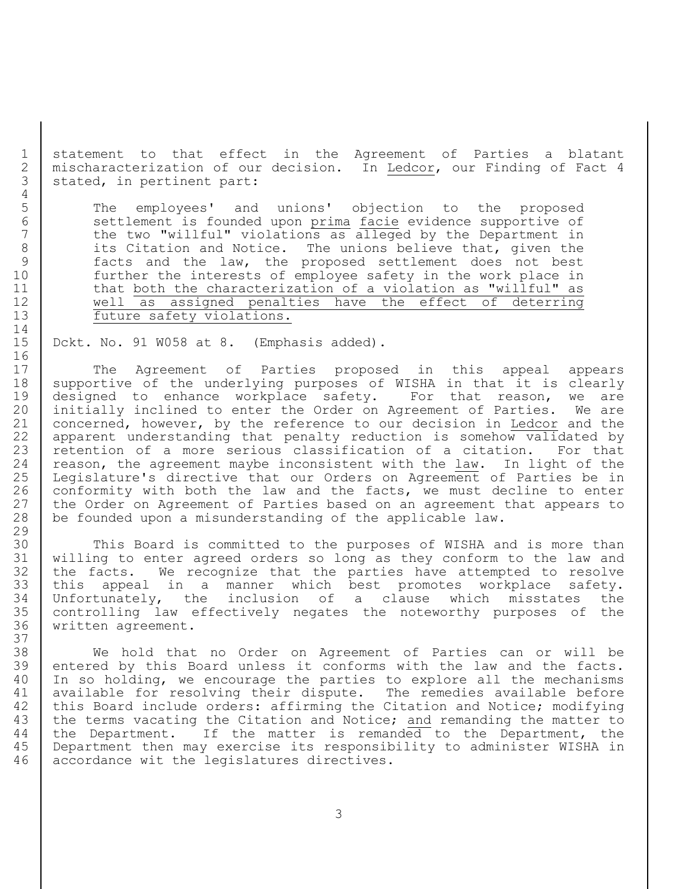statement to that effect in the Agreement of Parties a blatant mischaracterization of our decision. In Ledcor, our Finding of Fact 4 3 | stated, in pertinent part:

 The employees' and unions' objection to the proposed settlement is founded upon prima facie evidence supportive of 7 the two "willful" violations as alleged by the Department in 8 its Citation and Notice. The unions believe that, given the facts and the law, the proposed settlement does not best further the interests of employee safety in the work place in 11 | that both the characterization of a violation as "willful" as well as assigned penalties have the effect of deterring 13 future safety violations.

Dckt. No. 91 W058 at 8. (Emphasis added).

17 | The Agreement of Parties proposed in this appeal appears supportive of the underlying purposes of WISHA in that it is clearly designed to enhance workplace safety. For that reason, we are initially inclined to enter the Order on Agreement of Parties. We are concerned, however, by the reference to our decision in Ledcor and the apparent understanding that penalty reduction is somehow validated by 23 retention of a more serious classification of a citation. For that 24 reason, the agreement maybe inconsistent with the law. In light of the Legislature's directive that our Orders on Agreement of Parties be in 26 | conformity with both the law and the facts, we must decline to enter 27 the Order on Agreement of Parties based on an agreement that appears to be founded upon a misunderstanding of the applicable law.

 This Board is committed to the purposes of WISHA and is more than willing to enter agreed orders so long as they conform to the law and the facts. We recognize that the parties have attempted to resolve this appeal in a manner which best promotes workplace safety. Unfortunately, the inclusion of a clause which misstates the controlling law effectively negates the noteworthy purposes of the written agreement.

 We hold that no Order on Agreement of Parties can or will be entered by this Board unless it conforms with the law and the facts. In so holding, we encourage the parties to explore all the mechanisms 41 | available for resolving their dispute. The remedies available before 42 this Board include orders: affirming the Citation and Notice; modifying 43 the terms vacating the Citation and Notice; and remanding the matter to 44 the Department. If the matter is remanded to the Department, the Department then may exercise its responsibility to administer WISHA in accordance wit the legislatures directives.